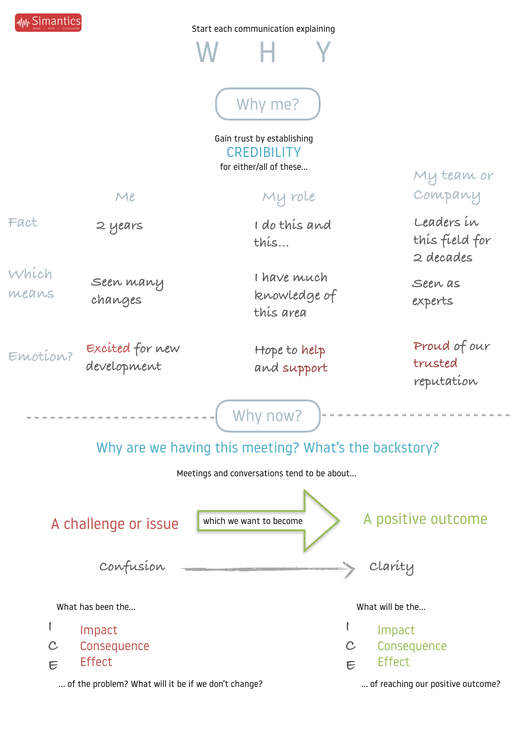Start each communication explaining

W H Y

## Why me?

Gain trust by establishing **CREDIBILITY** for either/all of these…